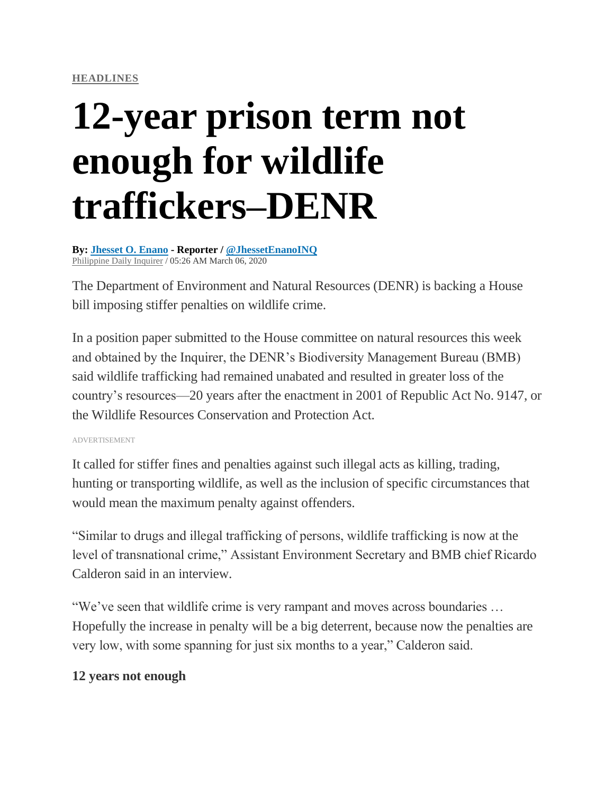#### **[HEADLINES](https://newsinfo.inquirer.net/category/inquirer-headlines)**

# **12-year prison term not enough for wildlife traffickers–DENR**

**By: [Jhesset](https://newsinfo.inquirer.net/byline/jhesset-o-enano) O. Enano - Reporter / [@JhessetEnanoINQ](https://www.twitter.com/@JhessetEnanoINQ)** [Philippine](https://newsinfo.inquirer.net/source/philippine-daily-inquirer) Daily Inquirer / 05:26 AM March 06, 2020

The Department of Environment and Natural Resources (DENR) is backing a House bill imposing stiffer penalties on wildlife crime.

In a position paper submitted to the House committee on natural resources this week and obtained by the Inquirer, the DENR's Biodiversity Management Bureau (BMB) said wildlife trafficking had remained unabated and resulted in greater loss of the country's resources—20 years after the enactment in 2001 of Republic Act No. 9147, or the Wildlife Resources Conservation and Protection Act.

ADVERTISEMENT

It called for stiffer fines and penalties against such illegal acts as killing, trading, hunting or transporting wildlife, as well as the inclusion of specific circumstances that would mean the maximum penalty against offenders.

"Similar to drugs and illegal trafficking of persons, wildlife trafficking is now at the level of transnational crime," Assistant Environment Secretary and BMB chief Ricardo Calderon said in an interview.

"We've seen that wildlife crime is very rampant and moves across boundaries … Hopefully the increase in penalty will be a big deterrent, because now the penalties are very low, with some spanning for just six months to a year," Calderon said.

## **12 years not enough**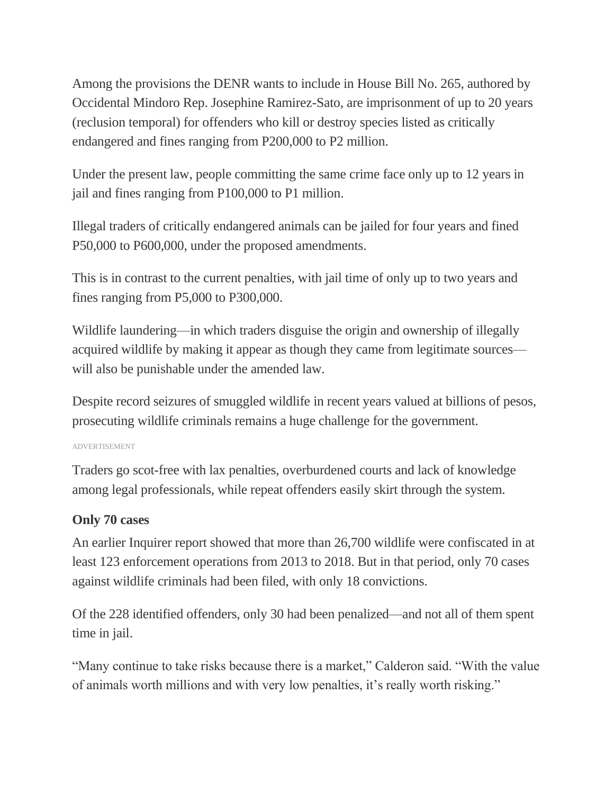Among the provisions the DENR wants to include in House Bill No. 265, authored by Occidental Mindoro Rep. Josephine Ramirez-Sato, are imprisonment of up to 20 years (reclusion temporal) for offenders who kill or destroy species listed as critically endangered and fines ranging from P200,000 to P2 million.

Under the present law, people committing the same crime face only up to 12 years in jail and fines ranging from P100,000 to P1 million.

Illegal traders of critically endangered animals can be jailed for four years and fined P50,000 to P600,000, under the proposed amendments.

This is in contrast to the current penalties, with jail time of only up to two years and fines ranging from P5,000 to P300,000.

Wildlife laundering—in which traders disguise the origin and ownership of illegally acquired wildlife by making it appear as though they came from legitimate sources will also be punishable under the amended law.

Despite record seizures of smuggled wildlife in recent years valued at billions of pesos, prosecuting wildlife criminals remains a huge challenge for the government.

ADVERTISEMENT

Traders go scot-free with lax penalties, overburdened courts and lack of knowledge among legal professionals, while repeat offenders easily skirt through the system.

## **Only 70 cases**

An earlier Inquirer report showed that more than 26,700 wildlife were confiscated in at least 123 enforcement operations from 2013 to 2018. But in that period, only 70 cases against wildlife criminals had been filed, with only 18 convictions.

Of the 228 identified offenders, only 30 had been penalized—and not all of them spent time in jail.

"Many continue to take risks because there is a market," Calderon said. "With the value of animals worth millions and with very low penalties, it's really worth risking."